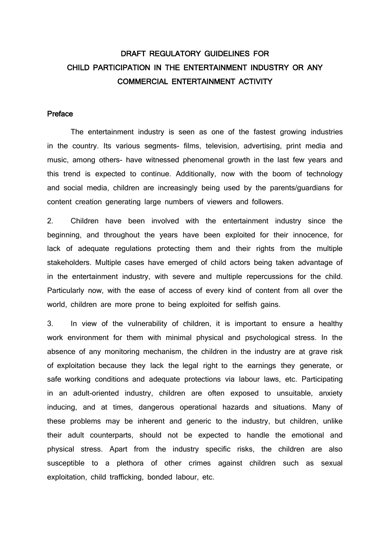# DRAFT REGULATORY GUIDELINES FOR CHILD PARTICIPATION IN THE ENTERTAINMENT INDUSTRY OR ANY COMMERCIAL ENTERTAINMENT ACTIVITY

### Preface

The entertainment industry is seen as one of the fastest growing industries in the country. Its various segments- films, television, advertising, print media and music, among others- have witnessed phenomenal growth in the last few years and this trend is expected to continue. Additionally, now with the boom of technology and social media, children are increasingly being used by the parents/guardians for content creation generating large numbers of viewers and followers.

2. Children have been involved with the entertainment industry since the beginning, and throughout the years have been exploited for their innocence, for lack of adequate regulations protecting them and their rights from the multiple stakeholders. Multiple cases have emerged of child actors being taken advantage of in the entertainment industry, with severe and multiple repercussions for the child. Particularly now, with the ease of access of every kind of content from all over the world, children are more prone to being exploited for selfish gains.

3. In view of the vulnerability of children, it is important to ensure a healthy work environment for them with minimal physical and psychological stress. In the absence of any monitoring mechanism, the children in the industry are at grave risk of [exploitation](https://www.humanium.org/en/exploitation/) because they lack the [legal right](https://www.humanium.org/en/convention/) to the earnings they generate, or safe [working conditions](https://www.humanium.org/en/child-labour/) and adequate protections via labour laws, etc. Participating in an adult-oriented industry, children are often exposed to unsuitable, anxiety inducing, and at times, dangerous operational hazards and situations. Many of these problems may be inherent and generic to the industry, but children, unlike their adult counterparts, should not be expected to handle the emotional and physical stress. Apart from the industry specific risks, the children are also susceptible to a plethora of other crimes against children such as sexual exploitation, child trafficking, bonded labour, etc.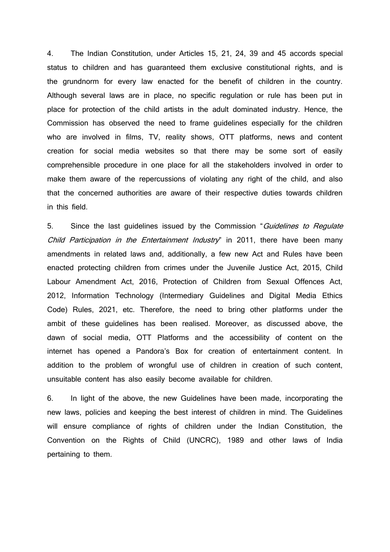4. The Indian Constitution, under Articles 15, 21, 24, 39 and 45 accords special status to children and has guaranteed them exclusive constitutional rights, and is the grundnorm for every law enacted for the benefit of children in the country. Although several laws are in place, no specific regulation or rule has been put in place for protection of the child artists in the adult dominated industry. Hence, the Commission has observed the need to frame guidelines especially for the children who are involved in films, TV, reality shows, OTT platforms, news and content creation for social media websites so that there may be some sort of easily comprehensible procedure in one place for all the stakeholders involved in order to make them aware of the repercussions of violating any right of the child, and also that the concerned authorities are aware of their respective duties towards children in this field.

5. Since the last quidelines issued by the Commission "*Guidelines to Requlate* Child Participation in the Entertainment Industry" in 2011, there have been many amendments in related laws and, additionally, a few new Act and Rules have been enacted protecting children from crimes under the Juvenile Justice Act, 2015, Child Labour Amendment Act, 2016, Protection of Children from Sexual Offences Act, 2012, Information Technology (Intermediary Guidelines and Digital Media Ethics Code) Rules, 2021, etc. Therefore, the need to bring other platforms under the ambit of these guidelines has been realised. Moreover, as discussed above, the dawn of social media, OTT Platforms and the accessibility of content on the internet has opened a Pandora's Box for creation of entertainment content. In addition to the problem of wrongful use of children in creation of such content, unsuitable content has also easily become available for children.

6. In light of the above, the new Guidelines have been made, incorporating the new laws, policies and keeping the best interest of children in mind. The Guidelines will ensure compliance of rights of children under the Indian Constitution, the Convention on the Rights of Child (UNCRC), 1989 and other laws of India pertaining to them.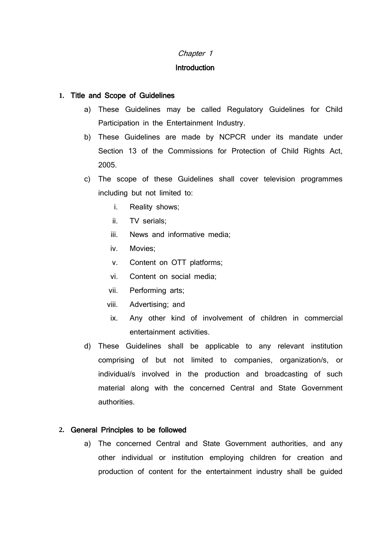## Chapter 1

# **Introduction**

# **1.** Title and Scope of Guidelines

- a) These Guidelines may be called Regulatory Guidelines for Child Participation in the Entertainment Industry.
- b) These Guidelines are made by NCPCR under its mandate under Section 13 of the Commissions for Protection of Child Rights Act, 2005.
- c) The scope of these Guidelines shall cover television programmes including but not limited to:
	- i. Reality shows;
	- ii. TV serials;
	- iii. News and informative media;
	- iv. Movies;
	- v. Content on OTT platforms;
	- vi. Content on social media;
	- vii. Performing arts;
	- viii. Advertising; and
	- ix. Any other kind of involvement of children in commercial entertainment activities.
- d) These Guidelines shall be applicable to any relevant institution comprising of but not limited to companies, organization/s, or individual/s involved in the production and broadcasting of such material along with the concerned Central and State Government authorities.

# **2.** General Principles to be followed

a) The concerned Central and State Government authorities, and any other individual or institution employing children for creation and production of content for the entertainment industry shall be guided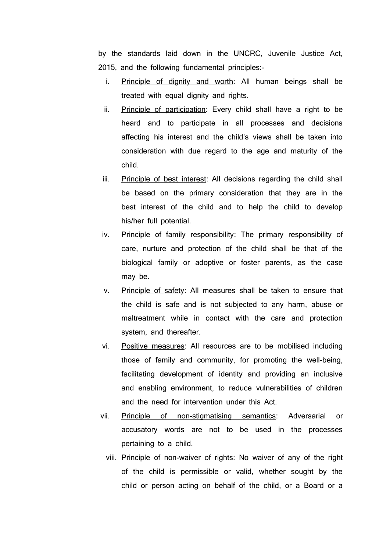by the standards laid down in the UNCRC, Juvenile Justice Act, 2015, and the following fundamental principles:-

- i. Principle of dignity and worth: All human beings shall be treated with equal dignity and rights.
- ii. Principle of participation: Every child shall have a right to be heard and to participate in all processes and decisions affecting his interest and the child's views shall be taken into consideration with due regard to the age and maturity of the child.
- iii. Principle of best interest: All decisions regarding the child shall be based on the primary consideration that they are in the best interest of the child and to help the child to develop his/her full potential.
- iv. Principle of family responsibility: The primary responsibility of care, nurture and protection of the child shall be that of the biological family or adoptive or foster parents, as the case may be.
- v. Principle of safety: All measures shall be taken to ensure that the child is safe and is not subjected to any harm, abuse or maltreatment while in contact with the care and protection system, and thereafter.
- vi. Positive measures: All resources are to be mobilised including those of family and community, for promoting the well-being, facilitating development of identity and providing an inclusive and enabling environment, to reduce vulnerabilities of children and the need for intervention under this Act.
- vii. Principle of non-stigmatising semantics: Adversarial or accusatory words are not to be used in the processes pertaining to a child.
	- viii. Principle of non-waiver of rights: No waiver of any of the right of the child is permissible or valid, whether sought by the child or person acting on behalf of the child, or a Board or a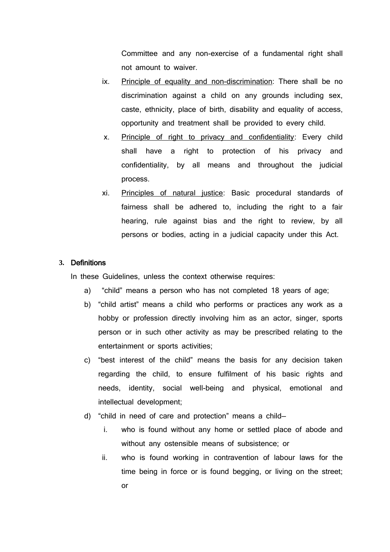Committee and any non-exercise of a fundamental right shall not amount to waiver.

- ix. Principle of equality and non-discrimination: There shall be no discrimination against a child on any grounds including sex, caste, ethnicity, place of birth, disability and equality of access, opportunity and treatment shall be provided to every child.
- x. Principle of right to privacy and confidentiality: Every child shall have a right to protection of his privacy and confidentiality, by all means and throughout the judicial process.
- xi. Principles of natural justice: Basic procedural standards of fairness shall be adhered to, including the right to a fair hearing, rule against bias and the right to review, by all persons or bodies, acting in a judicial capacity under this Act.

# **3.** Definitions

In these Guidelines, unless the context otherwise requires:

- a) "child" means a person who has not completed 18 years of age;
- b) "child artist" means a child who performs or practices any work as a hobby or profession directly involving him as an actor, singer, sports person or in such other activity as may be prescribed relating to the entertainment or sports activities;
- c) "best interest of the child" means the basis for any decision taken regarding the child, to ensure fulfilment of his basic rights and needs, identity, social well-being and physical, emotional and intellectual development;
- d) "child in need of care and protection" means a child
	- i. who is found without any home or settled place of abode and without any ostensible means of subsistence; or
	- ii. who is found working in contravention of labour laws for the time being in force or is found begging, or living on the street; or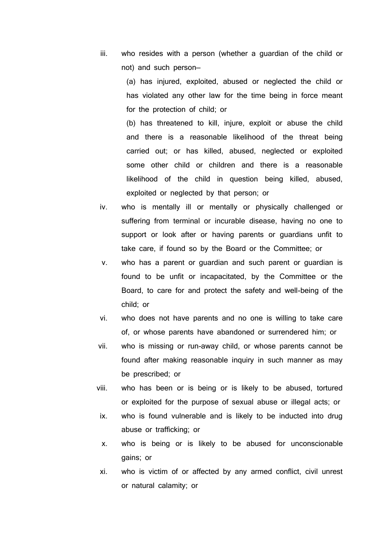iii. who resides with a person (whether a guardian of the child or not) and such person—

> (a) has injured, exploited, abused or neglected the child or has violated any other law for the time being in force meant for the protection of child; or

> (b) has threatened to kill, injure, exploit or abuse the child and there is a reasonable likelihood of the threat being carried out; or has killed, abused, neglected or exploited some other child or children and there is a reasonable likelihood of the child in question being killed, abused, exploited or neglected by that person; or

- iv. who is mentally ill or mentally or physically challenged or suffering from terminal or incurable disease, having no one to support or look after or having parents or guardians unfit to take care, if found so by the Board or the Committee; or
- v. who has a parent or guardian and such parent or guardian is found to be unfit or incapacitated, by the Committee or the Board, to care for and protect the safety and well-being of the child; or
- vi. who does not have parents and no one is willing to take care of, or whose parents have abandoned or surrendered him; or
- vii. who is missing or run-away child, or whose parents cannot be found after making reasonable inquiry in such manner as may be prescribed; or
- viii. who has been or is being or is likely to be abused, tortured or exploited for the purpose of sexual abuse or illegal acts; or
- ix. who is found vulnerable and is likely to be inducted into drug abuse or trafficking; or
- x. who is being or is likely to be abused for unconscionable gains; or
- xi. who is victim of or affected by any armed conflict, civil unrest or natural calamity; or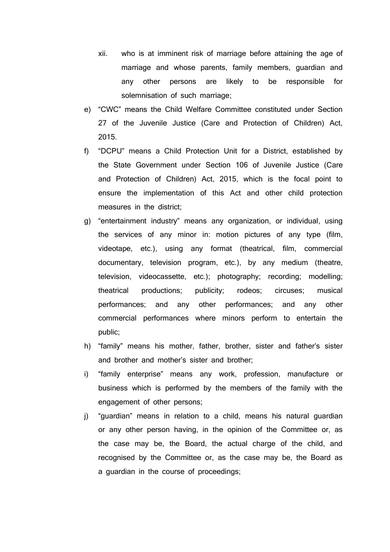- xii. who is at imminent risk of marriage before attaining the age of marriage and whose parents, family members, guardian and any other persons are likely to be responsible for solemnisation of such marriage;
- e) "CWC" means the Child Welfare Committee constituted under Section 27 of the Juvenile Justice (Care and Protection of Children) Act, 2015.
- f) "DCPU" means a Child Protection Unit for a District, established by the State Government under Section 106 of Juvenile Justice (Care and Protection of Children) Act, 2015, which is the focal point to ensure the implementation of this Act and other child protection measures in the district;
- g) "entertainment industry" means any organization, or individual, using the services of any minor in: motion pictures of any type (film, videotape, etc.), using any format (theatrical, film, commercial documentary, television program, etc.), by any medium (theatre, television, videocassette, etc.); photography; recording; modelling; theatrical productions; publicity; rodeos; circuses; musical performances; and any other performances; and any other commercial performances where minors perform to entertain the public;
- h) "family" means his mother, father, brother, sister and father's sister and brother and mother's sister and brother;
- i) "family enterprise" means any work, profession, manufacture or business which is performed by the members of the family with the engagement of other persons;
- j) "guardian" means in relation to a child, means his natural guardian or any other person having, in the opinion of the Committee or, as the case may be, the Board, the actual charge of the child, and recognised by the Committee or, as the case may be, the Board as a guardian in the course of proceedings;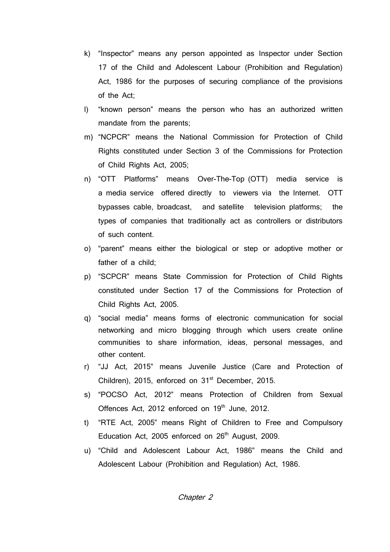- k) "Inspector" means any person appointed as Inspector under Section 17 of the Child and Adolescent Labour (Prohibition and Regulation) Act, 1986 for the purposes of securing compliance of the provisions of the Act;
- l) "known person" means the person who has an authorized written mandate from the parents;
- m) "NCPCR" means the National Commission for Protection of Child Rights constituted under Section 3 of the Commissions for Protection of Child Rights Act, 2005;
- n) "OTT Platforms" means Over-The-Top (OTT) media service is a [media](https://en.wikipedia.org/wiki/Media_(communications)) service offered [directly to viewers](https://en.wikipedia.org/wiki/Direct-to-consumer) via the [Internet.](https://en.wikipedia.org/wiki/Internet) OTT bypasses [cable,](https://en.wikipedia.org/wiki/Cable_television) [broadcast,](https://en.wikipedia.org/wiki/Broadcast_television) and [satellite television](https://en.wikipedia.org/wiki/Satellite_television) platforms; the types of companies that traditionally act as controllers or distributors of such content.
- o) "parent" means either the biological or step or adoptive mother or father of a child;
- p) "SCPCR" means State Commission for Protection of Child Rights constituted under Section 17 of the Commissions for Protection of Child Rights Act, 2005.
- q) "social media" means forms of electronic communication for social networking and micro blogging through which users create online communities to share information, ideas, personal messages, and other content.
- r) "JJ Act, 2015" means Juvenile Justice (Care and Protection of Children), 2015, enforced on 31<sup>st</sup> December, 2015.
- s) "POCSO Act, 2012" means Protection of Children from Sexual Offences Act, 2012 enforced on  $19<sup>th</sup>$  June, 2012.
- t) "RTE Act, 2005" means Right of Children to Free and Compulsory Education Act, 2005 enforced on  $26<sup>th</sup>$  August, 2009.
- u) "Child and Adolescent Labour Act, 1986" means the Child and Adolescent Labour (Prohibition and Regulation) Act, 1986.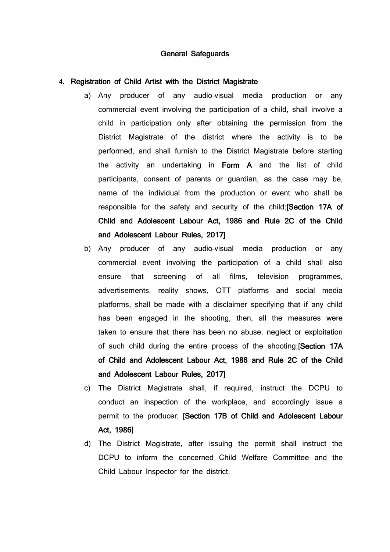## General Safeguards

#### **4.** Registration of Child Artist with the District Magistrate

- a) Any producer of any audio–visual media production or any commercial event involving the participation of a child, shall involve a child in participation only after obtaining the permission from the District Magistrate of the district where the activity is to be performed, and shall furnish to the District Magistrate before starting the activity an undertaking in Form A and the list of child participants, consent of parents or guardian, as the case may be, name of the individual from the production or event who shall be responsible for the safety and security of the child;[Section 17A of Child and Adolescent Labour Act, 1986 and Rule 2C of the Child and Adolescent Labour Rules, 2017]
- b) Any producer of any audio–visual media production or any commercial event involving the participation of a child shall also ensure that screening of all films, television programmes, advertisements, reality shows, OTT platforms and social media platforms, shall be made with a disclaimer specifying that if any child has been engaged in the shooting, then, all the measures were taken to ensure that there has been no abuse, neglect or exploitation of such child during the entire process of the shooting;[Section 17A of Child and Adolescent Labour Act, 1986 and Rule 2C of the Child and Adolescent Labour Rules, 2017]
- c) The District Magistrate shall, if required, instruct the DCPU to conduct an inspection of the workplace, and accordingly issue a permit to the producer; [Section 17B of Child and Adolescent Labour Act, 1986]
- d) The District Magistrate, after issuing the permit shall instruct the DCPU to inform the concerned Child Welfare Committee and the Child Labour Inspector for the district.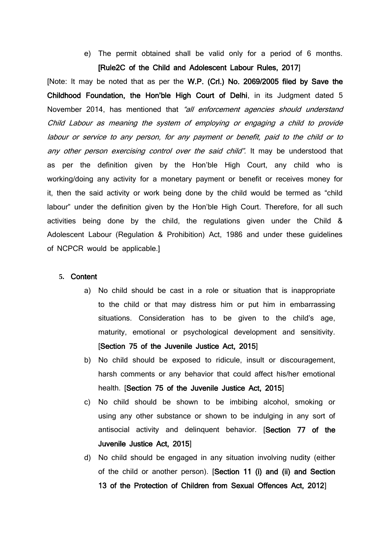e) The permit obtained shall be valid only for a period of 6 months.

## [Rule2C of the Child and Adolescent Labour Rules, 2017]

[Note: It may be noted that as per the W.P. (Crl.) No. 2069/2005 filed by Save the Childhood Foundation, the Hon'ble High Court of Delhi, in its Judgment dated 5 November 2014, has mentioned that "all enforcement agencies should understand Child Labour as meaning the system of employing or engaging a child to provide labour or service to any person, for any payment or benefit, paid to the child or to any other person exercising control over the said child". It may be understood that as per the definition given by the Hon'ble High Court, any child who is working/doing any activity for a monetary payment or benefit or receives money for it, then the said activity or work being done by the child would be termed as "child labour" under the definition given by the Hon'ble High Court. Therefore, for all such activities being done by the child, the regulations given under the Child & Adolescent Labour (Regulation & Prohibition) Act, 1986 and under these guidelines of NCPCR would be applicable.]

#### **5.** Content

- a) No child should be cast in a role or situation that is inappropriate to the child or that may distress him or put him in embarrassing situations. Consideration has to be given to the child's age, maturity, emotional or psychological development and sensitivity. [Section 75 of the Juvenile Justice Act, 2015]
- b) No child should be exposed to ridicule, insult or discouragement, harsh comments or any behavior that could affect his/her emotional health. [Section 75 of the Juvenile Justice Act, 2015]
- c) No child should be shown to be imbibing alcohol, smoking or using any other substance or shown to be indulging in any sort of antisocial activity and delinquent behavior. [Section 77 of the Juvenile Justice Act, 2015]
- d) No child should be engaged in any situation involving nudity (either of the child or another person). [Section 11 (i) and (ii) and Section 13 of the Protection of Children from Sexual Offences Act, 2012]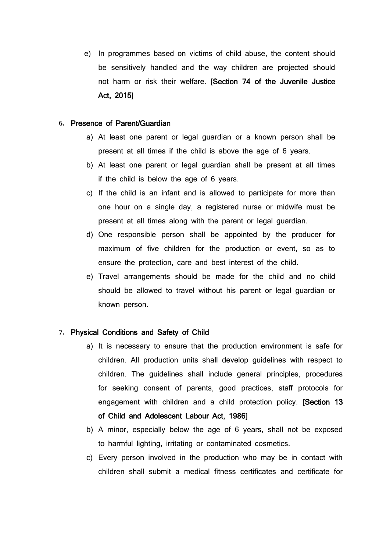e) In programmes based on victims of child abuse, the content should be sensitively handled and the way children are projected should not harm or risk their welfare. [Section 74 of the Juvenile Justice Act, 2015]

## **6.** Presence of Parent/Guardian

- a) At least one parent or legal guardian or a known person shall be present at all times if the child is above the age of 6 years.
- b) At least one parent or legal guardian shall be present at all times if the child is below the age of 6 years.
- c) If the child is an infant and is allowed to participate for more than one hour on a single day, a registered nurse or midwife must be present at all times along with the parent or legal guardian.
- d) One responsible person shall be appointed by the producer for maximum of five children for the production or event, so as to ensure the protection, care and best interest of the child.
- e) Travel arrangements should be made for the child and no child should be allowed to travel without his parent or legal guardian or known person.

## **7.** Physical Conditions and Safety of Child

- a) It is necessary to ensure that the production environment is safe for children. All production units shall develop guidelines with respect to children. The guidelines shall include general principles, procedures for seeking consent of parents, good practices, staff protocols for engagement with children and a child protection policy. [Section 13 of Child and Adolescent Labour Act, 1986]
- b) A minor, especially below the age of 6 years, shall not be exposed to harmful lighting, irritating or contaminated cosmetics.
- c) Every person involved in the production who may be in contact with children shall submit a medical fitness certificates and certificate for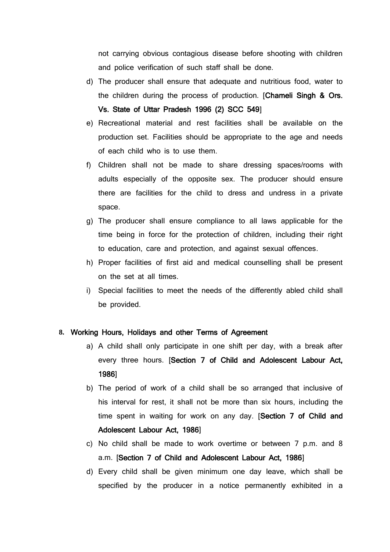not carrying obvious contagious disease before shooting with children and police verification of such staff shall be done.

- d) The producer shall ensure that adequate and nutritious food, water to the children during the process of production. [Chameli Singh & Ors. Vs. State of Uttar Pradesh 1996 (2) SCC 549]
- e) Recreational material and rest facilities shall be available on the production set. Facilities should be appropriate to the age and needs of each child who is to use them.
- f) Children shall not be made to share dressing spaces/rooms with adults especially of the opposite sex. The producer should ensure there are facilities for the child to dress and undress in a private space.
- g) The producer shall ensure compliance to all laws applicable for the time being in force for the protection of children, including their right to education, care and protection, and against sexual offences.
- h) Proper facilities of first aid and medical counselling shall be present on the set at all times.
- i) Special facilities to meet the needs of the differently abled child shall be provided.

## **8.** Working Hours, Holidays and other Terms of Agreement

- a) A child shall only participate in one shift per day, with a break after every three hours. [Section 7 of Child and Adolescent Labour Act, 1986]
- b) The period of work of a child shall be so arranged that inclusive of his interval for rest, it shall not be more than six hours, including the time spent in waiting for work on any day. [Section 7 of Child and Adolescent Labour Act, 1986]
- c) No child shall be made to work overtime or between 7 p.m. and 8 a.m. [Section 7 of Child and Adolescent Labour Act, 1986]
- d) Every child shall be given minimum one day leave, which shall be specified by the producer in a notice permanently exhibited in a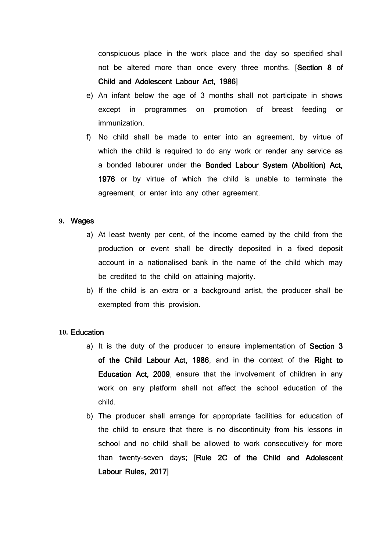conspicuous place in the work place and the day so specified shall not be altered more than once every three months. [Section 8 of Child and Adolescent Labour Act, 1986]

- e) An infant below the age of 3 months shall not participate in shows except in programmes on promotion of breast feeding or immunization.
- f) No child shall be made to enter into an agreement, by virtue of which the child is required to do any work or render any service as a bonded labourer under the Bonded Labour System (Abolition) Act, 1976 or by virtue of which the child is unable to terminate the agreement, or enter into any other agreement.

## **9.** Wages

- a) At least twenty per cent, of the income earned by the child from the production or event shall be directly deposited in a fixed deposit account in a nationalised bank in the name of the child which may be credited to the child on attaining majority.
- b) If the child is an extra or a background artist, the producer shall be exempted from this provision.

#### **10.** Education

- a) It is the duty of the producer to ensure implementation of Section 3 of the Child Labour Act, 1986, and in the context of the Right to Education Act, 2009, ensure that the involvement of children in any work on any platform shall not affect the school education of the child.
- b) The producer shall arrange for appropriate facilities for education of the child to ensure that there is no discontinuity from his lessons in school and no child shall be allowed to work consecutively for more than twenty-seven days; [Rule 2C of the Child and Adolescent Labour Rules, 2017]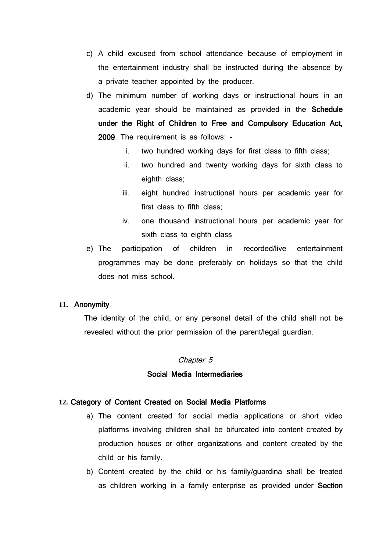- c) A child excused from school attendance because of employment in the entertainment industry shall be instructed during the absence by a private teacher appointed by the producer.
- d) The minimum number of working days or instructional hours in an academic year should be maintained as provided in the Schedule under the Right of Children to Free and Compulsory Education Act, 2009. The requirement is as follows:
	- i. two hundred working days for first class to fifth class;
	- ii. two hundred and twenty working days for sixth class to eighth class;
	- iii. eight hundred instructional hours per academic year for first class to fifth class;
	- iv. one thousand instructional hours per academic year for sixth class to eighth class
- e) The participation of children in recorded/live entertainment programmes may be done preferably on holidays so that the child does not miss school.

## **11.** Anonymity

The identity of the child, or any personal detail of the child shall not be revealed without the prior permission of the parent/legal guardian.

## Chapter 5

## Social Media Intermediaries

## **12.** Category of Content Created on Social Media Platforms

- a) The content created for social media applications or short video platforms involving children shall be bifurcated into content created by production houses or other organizations and content created by the child or his family.
- b) Content created by the child or his family/guardina shall be treated as children working in a family enterprise as provided under Section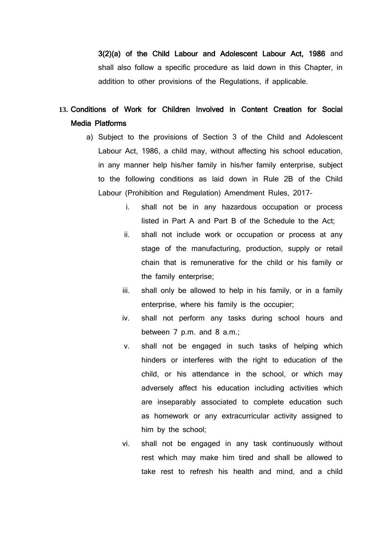3(2)(a) of the Child Labour and Adolescent Labour Act, 1986 and shall also follow a specific procedure as laid down in this Chapter, in addition to other provisions of the Regulations, if applicable.

# **13.** Conditions of Work for Children Involved in Content Creation for Social Media Platforms

- a) Subject to the provisions of Section 3 of the Child and Adolescent Labour Act, 1986, a child may, without affecting his school education, in any manner help his/her family in his/her family enterprise, subject to the following conditions as laid down in Rule 2B of the Child Labour (Prohibition and Regulation) Amendment Rules, 2017–
	- i. shall not be in any hazardous occupation or process listed in Part A and Part B of the Schedule to the Act;
	- ii. shall not include work or occupation or process at any stage of the manufacturing, production, supply or retail chain that is remunerative for the child or his family or the family enterprise;
	- iii. shall only be allowed to help in his family, or in a family enterprise, where his family is the occupier;
	- iv. shall not perform any tasks during school hours and between 7 p.m. and 8 a.m.;
	- v. shall not be engaged in such tasks of helping which hinders or interferes with the right to education of the child, or his attendance in the school, or which may adversely affect his education including activities which are inseparably associated to complete education such as homework or any extracurricular activity assigned to him by the school;
	- vi. shall not be engaged in any task continuously without rest which may make him tired and shall be allowed to take rest to refresh his health and mind, and a child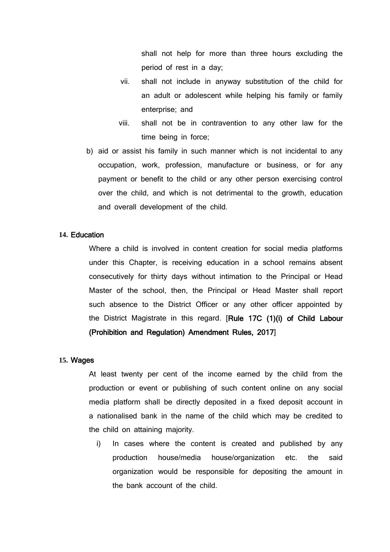shall not help for more than three hours excluding the period of rest in a day;

- vii. shall not include in anyway substitution of the child for an adult or adolescent while helping his family or family enterprise; and
- viii. shall not be in contravention to any other law for the time being in force;
- b) aid or assist his family in such manner which is not incidental to any occupation, work, profession, manufacture or business, or for any payment or benefit to the child or any other person exercising control over the child, and which is not detrimental to the growth, education and overall development of the child.

## **14.** Education

Where a child is involved in content creation for social media platforms under this Chapter, is receiving education in a school remains absent consecutively for thirty days without intimation to the Principal or Head Master of the school, then, the Principal or Head Master shall report such absence to the District Officer or any other officer appointed by the District Magistrate in this regard. [Rule 17C (1)(i) of Child Labour (Prohibition and Regulation) Amendment Rules, 2017]

## **15.** Wages

At least twenty per cent of the income earned by the child from the production or event or publishing of such content online on any social media platform shall be directly deposited in a fixed deposit account in a nationalised bank in the name of the child which may be credited to the child on attaining majority.

i) In cases where the content is created and published by any production house/media house/organization etc. the said organization would be responsible for depositing the amount in the bank account of the child.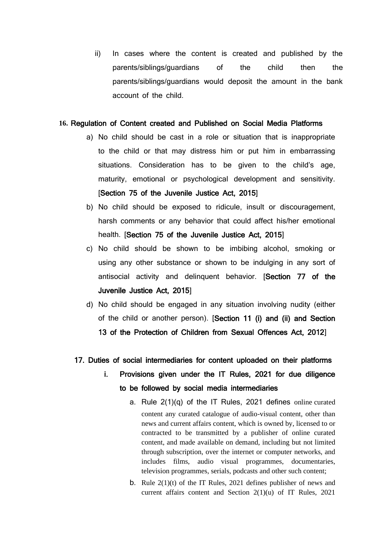ii) In cases where the content is created and published by the parents/siblings/guardians of the child then the parents/siblings/guardians would deposit the amount in the bank account of the child.

#### **16.** Regulation of Content created and Published on Social Media Platforms

- a) No child should be cast in a role or situation that is inappropriate to the child or that may distress him or put him in embarrassing situations. Consideration has to be given to the child's age, maturity, emotional or psychological development and sensitivity. [Section 75 of the Juvenile Justice Act, 2015]
- b) No child should be exposed to ridicule, insult or discouragement, harsh comments or any behavior that could affect his/her emotional health. [Section 75 of the Juvenile Justice Act, 2015]
- c) No child should be shown to be imbibing alcohol, smoking or using any other substance or shown to be indulging in any sort of antisocial activity and delinquent behavior. [Section 77 of the Juvenile Justice Act, 2015]
- d) No child should be engaged in any situation involving nudity (either of the child or another person). [Section 11 (i) and (ii) and Section 13 of the Protection of Children from Sexual Offences Act, 2012]

## 17. Duties of social intermediaries for content uploaded on their platforms

- i. Provisions given under the IT Rules, 2021 for due diligence to be followed by social media intermediaries
	- a. Rule 2(1)(q) of the IT Rules, 2021 defines online curated content any curated catalogue of audio-visual content, other than news and current affairs content, which is owned by, licensed to or contracted to be transmitted by a publisher of online curated content, and made available on demand, including but not limited through subscription, over the internet or computer networks, and includes films, audio visual programmes, documentaries, television programmes, serials, podcasts and other such content;
	- b. Rule  $2(1)(t)$  of the IT Rules, 2021 defines publisher of news and current affairs content and Section 2(1)(u) of IT Rules, 2021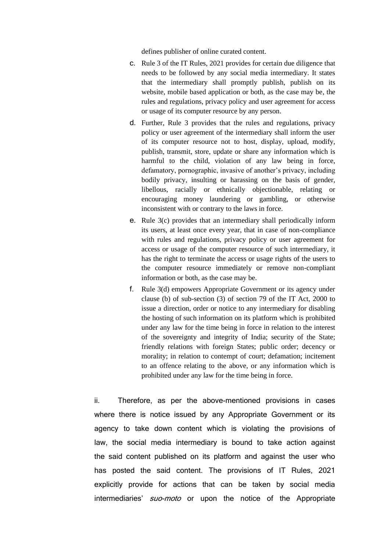defines publisher of online curated content.

- c. Rule 3 of the IT Rules, 2021 provides for certain due diligence that needs to be followed by any social media intermediary. It states that the intermediary shall promptly publish, publish on its website, mobile based application or both, as the case may be, the rules and regulations, privacy policy and user agreement for access or usage of its computer resource by any person.
- d. Further, Rule 3 provides that the rules and regulations, privacy policy or user agreement of the intermediary shall inform the user of its computer resource not to host, display, upload, modify, publish, transmit, store, update or share any information which is harmful to the child, violation of any law being in force, defamatory, pornographic, invasive of another's privacy, including bodily privacy, insulting or harassing on the basis of gender, libellous, racially or ethnically objectionable, relating or encouraging money laundering or gambling, or otherwise inconsistent with or contrary to the laws in force.
- e. Rule 3(c) provides that an intermediary shall periodically inform its users, at least once every year, that in case of non-compliance with rules and regulations, privacy policy or user agreement for access or usage of the computer resource of such intermediary, it has the right to terminate the access or usage rights of the users to the computer resource immediately or remove non-compliant information or both, as the case may be.
- f. Rule 3(d) empowers Appropriate Government or its agency under clause (b) of sub-section (3) of section 79 of the IT Act, 2000 to issue a direction, order or notice to any intermediary for disabling the hosting of such information on its platform which is prohibited under any law for the time being in force in relation to the interest of the sovereignty and integrity of India; security of the State; friendly relations with foreign States; public order; decency or morality; in relation to contempt of court; defamation; incitement to an offence relating to the above, or any information which is prohibited under any law for the time being in force.

ii. Therefore, as per the above-mentioned provisions in cases where there is notice issued by any Appropriate Government or its agency to take down content which is violating the provisions of law, the social media intermediary is bound to take action against the said content published on its platform and against the user who has posted the said content. The provisions of IT Rules, 2021 explicitly provide for actions that can be taken by social media intermediaries' *suo-moto* or upon the notice of the Appropriate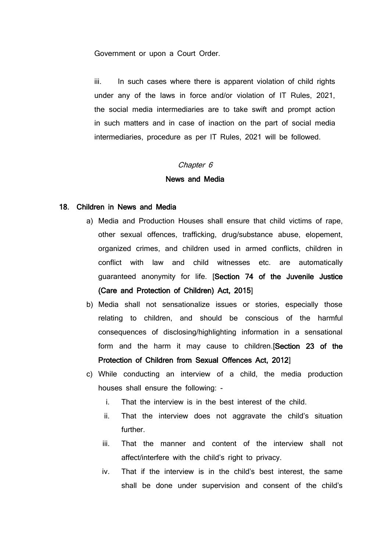Government or upon a Court Order.

iii. In such cases where there is apparent violation of child rights under any of the laws in force and/or violation of IT Rules, 2021, the social media intermediaries are to take swift and prompt action in such matters and in case of inaction on the part of social media intermediaries, procedure as per IT Rules, 2021 will be followed.

#### Chapter 6

## News and Media

#### 18. Children in News and Media

- a) Media and Production Houses shall ensure that child victims of rape, other sexual offences, trafficking, drug/substance abuse, elopement, organized crimes, and children used in armed conflicts, children in conflict with law and child witnesses etc. are automatically guaranteed anonymity for life. [Section 74 of the Juvenile Justice (Care and Protection of Children) Act, 2015]
- b) Media shall not sensationalize issues or stories, especially those relating to children, and should be conscious of the harmful consequences of disclosing/highlighting information in a sensational form and the harm it may cause to children.[Section 23 of the Protection of Children from Sexual Offences Act, 2012]
- c) While conducting an interview of a child, the media production houses shall ensure the following:
	- i. That the interview is in the best interest of the child.
	- ii. That the interview does not aggravate the child's situation further.
	- iii. That the manner and content of the interview shall not affect/interfere with the child's right to privacy.
	- iv. That if the interview is in the child's best interest, the same shall be done under supervision and consent of the child's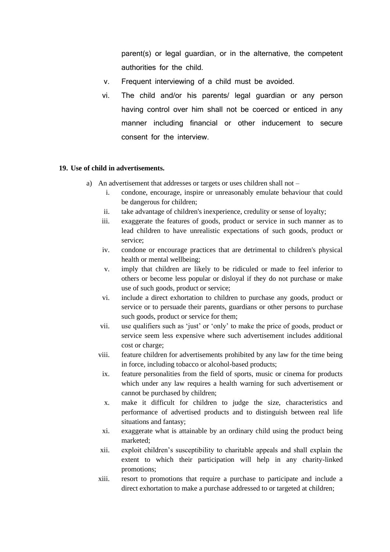parent(s) or legal guardian, or in the alternative, the competent authorities for the child.

- v. Frequent interviewing of a child must be avoided.
- vi. The child and/or his parents/ legal guardian or any person having control over him shall not be coerced or enticed in any manner including financial or other inducement to secure consent for the interview.

## **19. Use of child in advertisements.**

- a) An advertisement that addresses or targets or uses children shall not
	- i. condone, encourage, inspire or unreasonably emulate behaviour that could be dangerous for children;
	- ii. take advantage of children's inexperience, credulity or sense of loyalty;
	- iii. exaggerate the features of goods, product or service in such manner as to lead children to have unrealistic expectations of such goods, product or service;
	- iv. condone or encourage practices that are detrimental to children's physical health or mental wellbeing;
	- v. imply that children are likely to be ridiculed or made to feel inferior to others or become less popular or disloyal if they do not purchase or make use of such goods, product or service;
	- vi. include a direct exhortation to children to purchase any goods, product or service or to persuade their parents, guardians or other persons to purchase such goods, product or service for them;
	- vii. use qualifiers such as 'just' or 'only' to make the price of goods, product or service seem less expensive where such advertisement includes additional cost or charge;
	- viii. feature children for advertisements prohibited by any law for the time being in force, including tobacco or alcohol-based products;
	- ix. feature personalities from the field of sports, music or cinema for products which under any law requires a health warning for such advertisement or cannot be purchased by children;
	- x. make it difficult for children to judge the size, characteristics and performance of advertised products and to distinguish between real life situations and fantasy;
	- xi. exaggerate what is attainable by an ordinary child using the product being marketed;
	- xii. exploit children's susceptibility to charitable appeals and shall explain the extent to which their participation will help in any charity-linked promotions;
	- xiii. resort to promotions that require a purchase to participate and include a direct exhortation to make a purchase addressed to or targeted at children;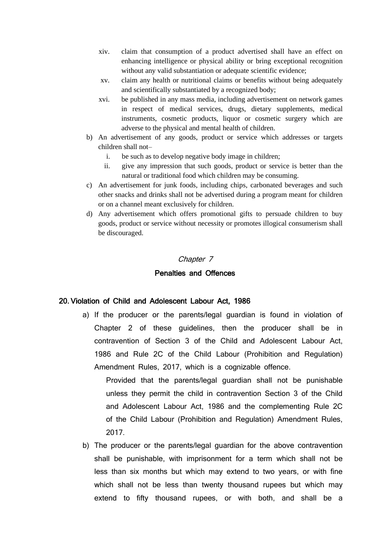- xiv. claim that consumption of a product advertised shall have an effect on enhancing intelligence or physical ability or bring exceptional recognition without any valid substantiation or adequate scientific evidence;
- xv. claim any health or nutritional claims or benefits without being adequately and scientifically substantiated by a recognized body;
- xvi. be published in any mass media, including advertisement on network games in respect of medical services, drugs, dietary supplements, medical instruments, cosmetic products, liquor or cosmetic surgery which are adverse to the physical and mental health of children.
- b) An advertisement of any goods, product or service which addresses or targets children shall not–
	- i. be such as to develop negative body image in children;
	- ii. give any impression that such goods, product or service is better than the natural or traditional food which children may be consuming.
- c) An advertisement for junk foods, including chips, carbonated beverages and such other snacks and drinks shall not be advertised during a program meant for children or on a channel meant exclusively for children.
- d) Any advertisement which offers promotional gifts to persuade children to buy goods, product or service without necessity or promotes illogical consumerism shall be discouraged.

#### Chapter 7

# Penalties and Offences

#### 20. Violation of Child and Adolescent Labour Act, 1986

a) If the producer or the parents/legal guardian is found in violation of Chapter 2 of these guidelines, then the producer shall be in contravention of Section 3 of the Child and Adolescent Labour Act, 1986 and Rule 2C of the Child Labour (Prohibition and Regulation) Amendment Rules, 2017, which is a cognizable offence.

Provided that the parents/legal guardian shall not be punishable unless they permit the child in contravention Section 3 of the Child and Adolescent Labour Act, 1986 and the complementing Rule 2C of the Child Labour (Prohibition and Regulation) Amendment Rules, 2017.

b) The producer or the parents/legal guardian for the above contravention shall be punishable, with imprisonment for a term which shall not be less than six months but which may extend to two years, or with fine which shall not be less than twenty thousand rupees but which may extend to fifty thousand rupees, or with both, and shall be a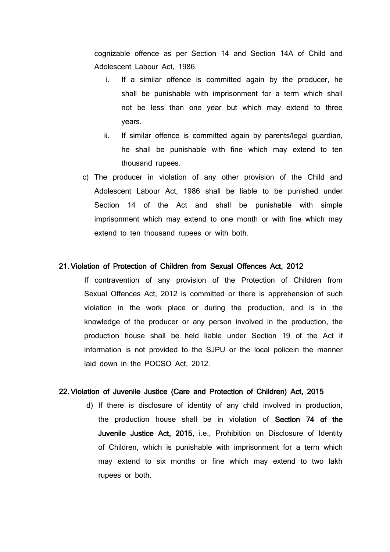cognizable offence as per Section 14 and Section 14A of Child and Adolescent Labour Act, 1986.

- i. If a similar offence is committed again by the producer, he shall be punishable with imprisonment for a term which shall not be less than one year but which may extend to three years.
- ii. If similar offence is committed again by parents/legal guardian, he shall be punishable with fine which may extend to ten thousand rupees.
- c) The producer in violation of any other provision of the Child and Adolescent Labour Act, 1986 shall be liable to be punished under Section 14 of the Act and shall be punishable with simple imprisonment which may extend to one month or with fine which may extend to ten thousand rupees or with both.

#### 21. Violation of Protection of Children from Sexual Offences Act, 2012

If contravention of any provision of the Protection of Children from Sexual Offences Act, 2012 is committed or there is apprehension of such violation in the work place or during the production, and is in the knowledge of the producer or any person involved in the production, the production house shall be held liable under Section 19 of the Act if information is not provided to the SJPU or the local policein the manner laid down in the POCSO Act, 2012.

## 22. Violation of Juvenile Justice (Care and Protection of Children) Act, 2015

d) If there is disclosure of identity of any child involved in production, the production house shall be in violation of Section 74 of the Juvenile Justice Act, 2015, i.e., Prohibition on Disclosure of Identity of Children, which is punishable with imprisonment for a term which may extend to six months or fine which may extend to two lakh rupees or both.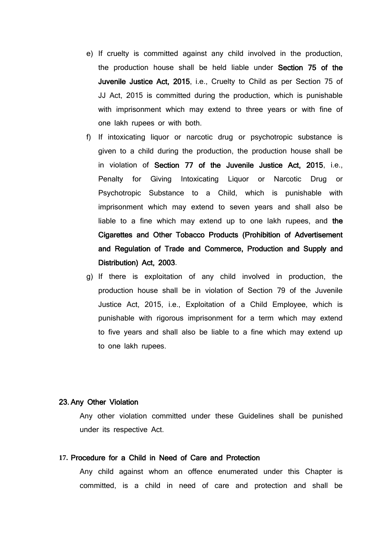- e) If cruelty is committed against any child involved in the production, the production house shall be held liable under Section 75 of the Juvenile Justice Act, 2015, i.e., Cruelty to Child as per Section 75 of JJ Act, 2015 is committed during the production, which is punishable with imprisonment which may extend to three years or with fine of one lakh rupees or with both.
- f) If intoxicating liquor or narcotic drug or psychotropic substance is given to a child during the production, the production house shall be in violation of Section 77 of the Juvenile Justice Act, 2015, i.e., Penalty for Giving Intoxicating Liquor or Narcotic Drug or Psychotropic Substance to a Child, which is punishable with imprisonment which may extend to seven years and shall also be liable to a fine which may extend up to one lakh rupees, and the Cigarettes and Other Tobacco Products (Prohibition of Advertisement and Regulation of Trade and Commerce, Production and Supply and Distribution) Act, 2003.
- g) If there is exploitation of any child involved in production, the production house shall be in violation of Section 79 of the Juvenile Justice Act, 2015, i.e., Exploitation of a Child Employee, which is punishable with rigorous imprisonment for a term which may extend to five years and shall also be liable to a fine which may extend up to one lakh rupees.

#### 23. Any Other Violation

Any other violation committed under these Guidelines shall be punished under its respective Act.

## **17.** Procedure for a Child in Need of Care and Protection

Any child against whom an offence enumerated under this Chapter is committed, is a child in need of care and protection and shall be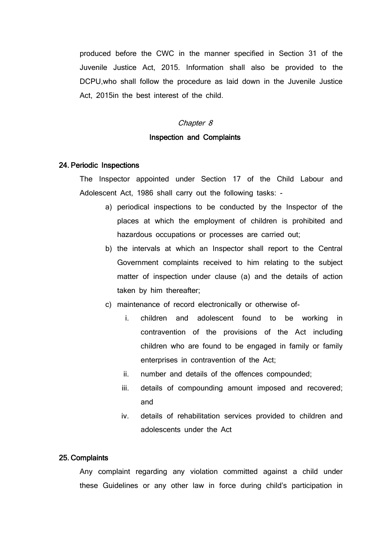produced before the CWC in the manner specified in Section 31 of the Juvenile Justice Act, 2015. Information shall also be provided to the DCPU,who shall follow the procedure as laid down in the Juvenile Justice Act, 2015in the best interest of the child.

#### Chapter 8

## Inspection and Complaints

#### 24. Periodic Inspections

The Inspector appointed under Section 17 of the Child Labour and Adolescent Act, 1986 shall carry out the following tasks: -

- a) periodical inspections to be conducted by the Inspector of the places at which the employment of children is prohibited and hazardous occupations or processes are carried out;
- b) the intervals at which an Inspector shall report to the Central Government complaints received to him relating to the subject matter of inspection under clause (a) and the details of action taken by him thereafter;
- c) maintenance of record electronically or otherwise of
	- i. children and adolescent found to be working in contravention of the provisions of the Act including children who are found to be engaged in family or family enterprises in contravention of the Act;
	- ii. number and details of the offences compounded;
	- iii. details of compounding amount imposed and recovered; and
	- iv. details of rehabilitation services provided to children and adolescents under the Act

#### 25. Complaints

Any complaint regarding any violation committed against a child under these Guidelines or any other law in force during child's participation in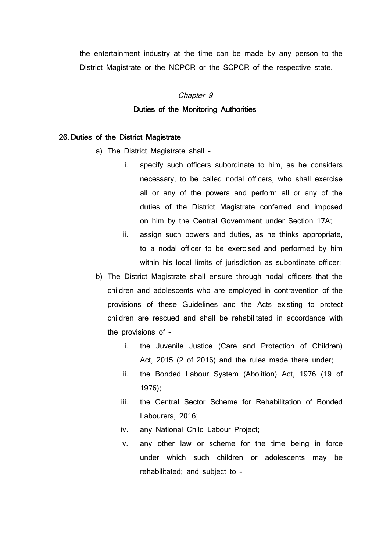the entertainment industry at the time can be made by any person to the District Magistrate or the NCPCR or the SCPCR of the respective state.

#### Chapter 9

## Duties of the Monitoring Authorities

#### 26. Duties of the District Magistrate

- a) The District Magistrate shall
	- i. specify such officers subordinate to him, as he considers necessary, to be called nodal officers, who shall exercise all or any of the powers and perform all or any of the duties of the District Magistrate conferred and imposed on him by the Central Government under Section 17A;
	- ii. assign such powers and duties, as he thinks appropriate, to a nodal officer to be exercised and performed by him within his local limits of jurisdiction as subordinate officer;
- b) The District Magistrate shall ensure through nodal officers that the children and adolescents who are employed in contravention of the provisions of these Guidelines and the Acts existing to protect children are rescued and shall be rehabilitated in accordance with the provisions of –
	- i. the Juvenile Justice (Care and Protection of Children) Act, 2015 (2 of 2016) and the rules made there under;
	- ii. the Bonded Labour System (Abolition) Act, 1976 (19 of 1976);
	- iii. the Central Sector Scheme for Rehabilitation of Bonded Labourers, 2016;
	- iv. any National Child Labour Project;
	- v. any other law or scheme for the time being in force under which such children or adolescents may be rehabilitated; and subject to –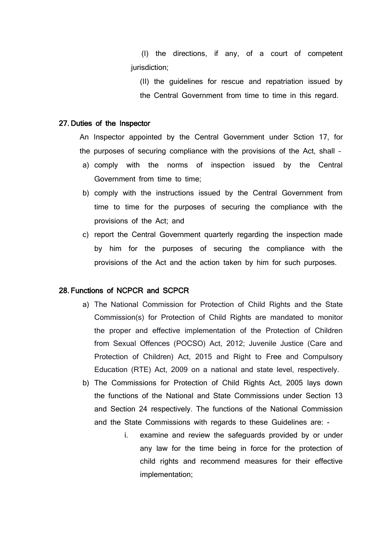(I) the directions, if any, of a court of competent jurisdiction;

(II) the guidelines for rescue and repatriation issued by the Central Government from time to time in this regard.

#### 27. Duties of the Inspector

An Inspector appointed by the Central Government under Sction 17, for the purposes of securing compliance with the provisions of the Act, shall –

- a) comply with the norms of inspection issued by the Central Government from time to time;
- b) comply with the instructions issued by the Central Government from time to time for the purposes of securing the compliance with the provisions of the Act; and
- c) report the Central Government quarterly regarding the inspection made by him for the purposes of securing the compliance with the provisions of the Act and the action taken by him for such purposes.

## 28. Functions of NCPCR and SCPCR

- a) The National Commission for Protection of Child Rights and the State Commission(s) for Protection of Child Rights are mandated to monitor the proper and effective implementation of the Protection of Children from Sexual Offences (POCSO) Act, 2012; Juvenile Justice (Care and Protection of Children) Act, 2015 and Right to Free and Compulsory Education (RTE) Act, 2009 on a national and state level, respectively.
- b) The Commissions for Protection of Child Rights Act, 2005 lays down the functions of the National and State Commissions under Section 13 and Section 24 respectively. The functions of the National Commission and the State Commissions with regards to these Guidelines are:
	- i. examine and review the safeguards provided by or under any law for the time being in force for the protection of child rights and recommend measures for their effective implementation;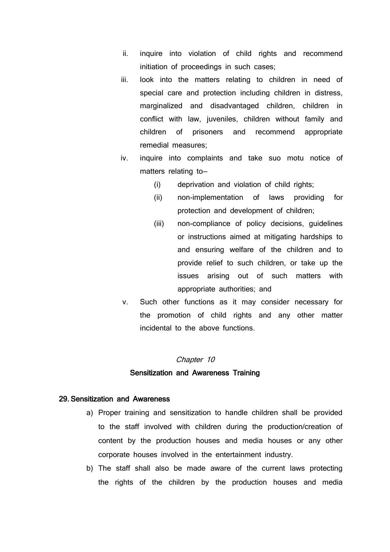- ii. inquire into violation of child rights and recommend initiation of proceedings in such cases;
- iii. look into the matters relating to children in need of special care and protection including children in distress, marginalized and disadvantaged children, children in conflict with law, juveniles, children without family and children of prisoners and recommend appropriate remedial measures;
- iv. inquire into complaints and take suo motu notice of matters relating to—
	- (i) deprivation and violation of child rights;
	- (ii) non-implementation of laws providing for protection and development of children;
	- (iii) non-compliance of policy decisions, guidelines or instructions aimed at mitigating hardships to and ensuring welfare of the children and to provide relief to such children, or take up the issues arising out of such matters with appropriate authorities; and
- v. Such other functions as it may consider necessary for the promotion of child rights and any other matter incidental to the above functions.

#### Chapter 10

#### Sensitization and Awareness Training

### 29. Sensitization and Awareness

- a) Proper training and sensitization to handle children shall be provided to the staff involved with children during the production/creation of content by the production houses and media houses or any other corporate houses involved in the entertainment industry.
- b) The staff shall also be made aware of the current laws protecting the rights of the children by the production houses and media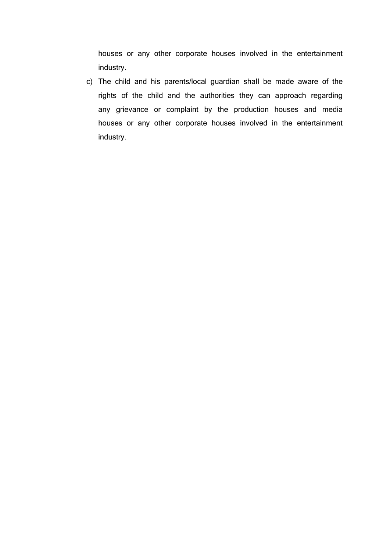houses or any other corporate houses involved in the entertainment industry.

c) The child and his parents/local guardian shall be made aware of the rights of the child and the authorities they can approach regarding any grievance or complaint by the production houses and media houses or any other corporate houses involved in the entertainment industry.